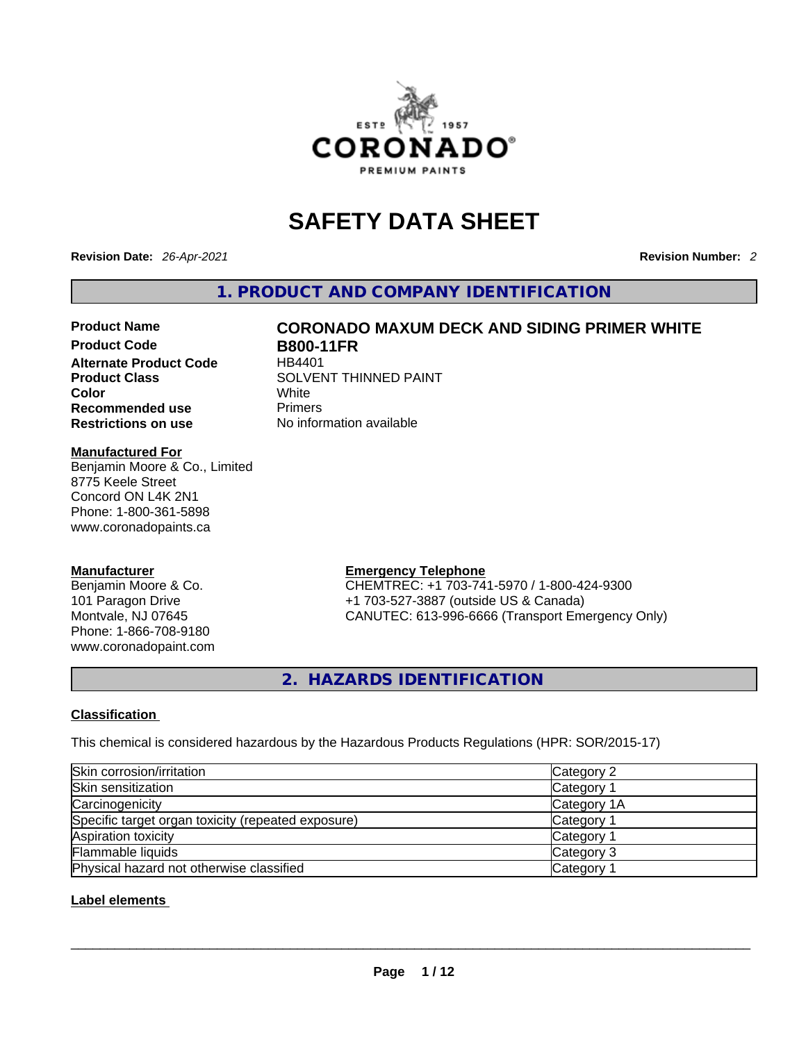

# **SAFETY DATA SHEET**

**Revision Date:** *26-Apr-2021* **Revision Number:** *2*

**1. PRODUCT AND COMPANY IDENTIFICATION** 

**Product Code B800-11FR**<br>Alternate Product Code HB4401 **Alternate Product Code Color** White **Recommended use Primers Restrictions on use** No information available

# **Product Name CORONADO MAXUM DECK AND SIDING PRIMER WHITE Product Class SOLVENT THINNED PAINT**

#### **Manufactured For**

Benjamin Moore & Co., Limited 8775 Keele Street Concord ON L4K 2N1 Phone: 1-800-361-5898 www.coronadopaints.ca

#### **Manufacturer**

Benjamin Moore & Co. 101 Paragon Drive Montvale, NJ 07645 Phone: 1-866-708-9180 www.coronadopaint.com

### **Emergency Telephone**

CHEMTREC: +1 703-741-5970 / 1-800-424-9300 +1 703-527-3887 (outside US & Canada) CANUTEC: 613-996-6666 (Transport Emergency Only)

**2. HAZARDS IDENTIFICATION** 

#### **Classification**

This chemical is considered hazardous by the Hazardous Products Regulations (HPR: SOR/2015-17)

| Skin corrosion/irritation                          | Category 2  |
|----------------------------------------------------|-------------|
| Skin sensitization                                 | Category 1  |
| Carcinogenicity                                    | Category 1A |
| Specific target organ toxicity (repeated exposure) | Category 1  |
| Aspiration toxicity                                | Category 1  |
| Flammable liquids                                  | Category 3  |
| Physical hazard not otherwise classified           | Category 1  |
| Label elements                                     |             |

#### **Label elements**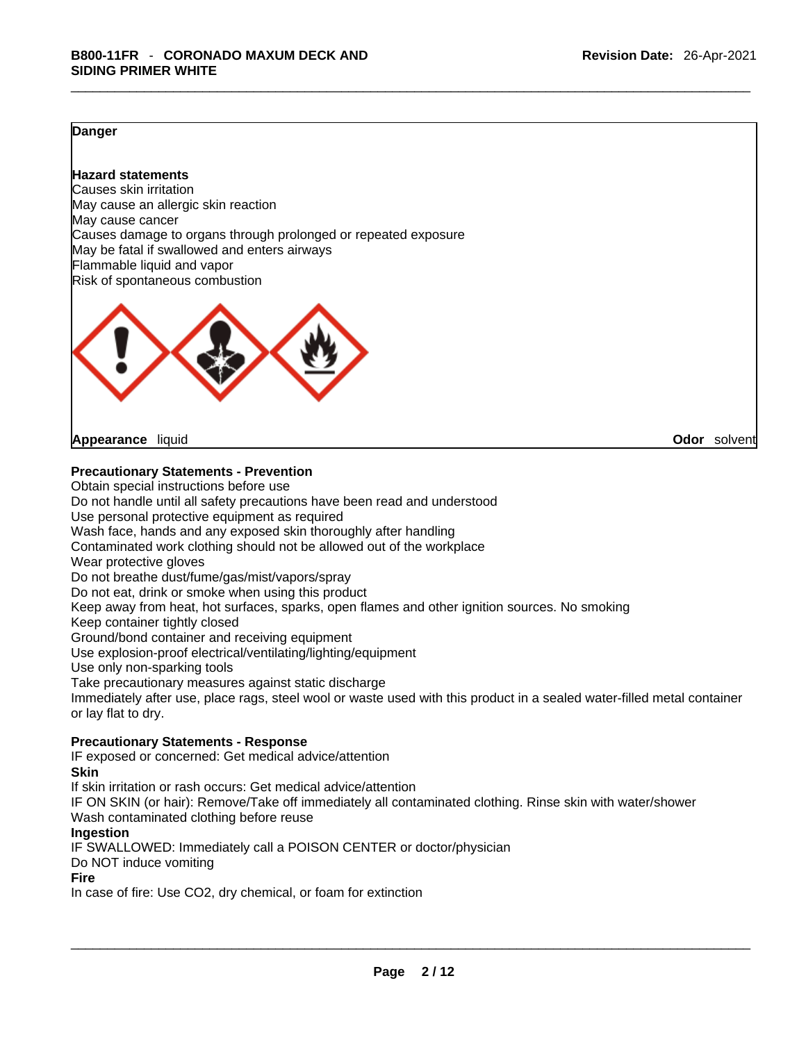#### **Danger**

# **Hazard statements**

Causes skin irritation May cause an allergic skin reaction May cause cancer Causes damage to organs through prolonged or repeated exposure May be fatal if swallowed and enters airways Flammable liquid and vapor Risk of spontaneous combustion



**Appearance** liquid **Odor** solvent

**Precautionary Statements - Prevention**

Obtain special instructions before use Do not handle until all safety precautions have been read and understood Use personal protective equipment as required Wash face, hands and any exposed skin thoroughly after handling Contaminated work clothing should not be allowed out of the workplace Wear protective gloves Do not breathe dust/fume/gas/mist/vapors/spray Do not eat, drink or smoke when using this product Keep away from heat, hot surfaces, sparks, open flames and other ignition sources. No smoking Keep container tightly closed Ground/bond container and receiving equipment Use explosion-proof electrical/ventilating/lighting/equipment Use only non-sparking tools Take precautionary measures against static discharge Immediately after use, place rags, steel wool or waste used with this product in a sealed water-filled metal container or lay flat to dry. **Precautionary Statements - Response** IF exposed or concerned: Get medical advice/attention

#### **Skin**

If skin irritation or rash occurs: Get medical advice/attention

IF ON SKIN (or hair): Remove/Take off immediately all contaminated clothing. Rinse skin with water/shower Wash contaminated clothing before reuse

#### **Ingestion**

IF SWALLOWED: Immediately call a POISON CENTER or doctor/physician

Do NOT induce vomiting

#### **Fire**

In case of fire: Use CO2, dry chemical, or foam for extinction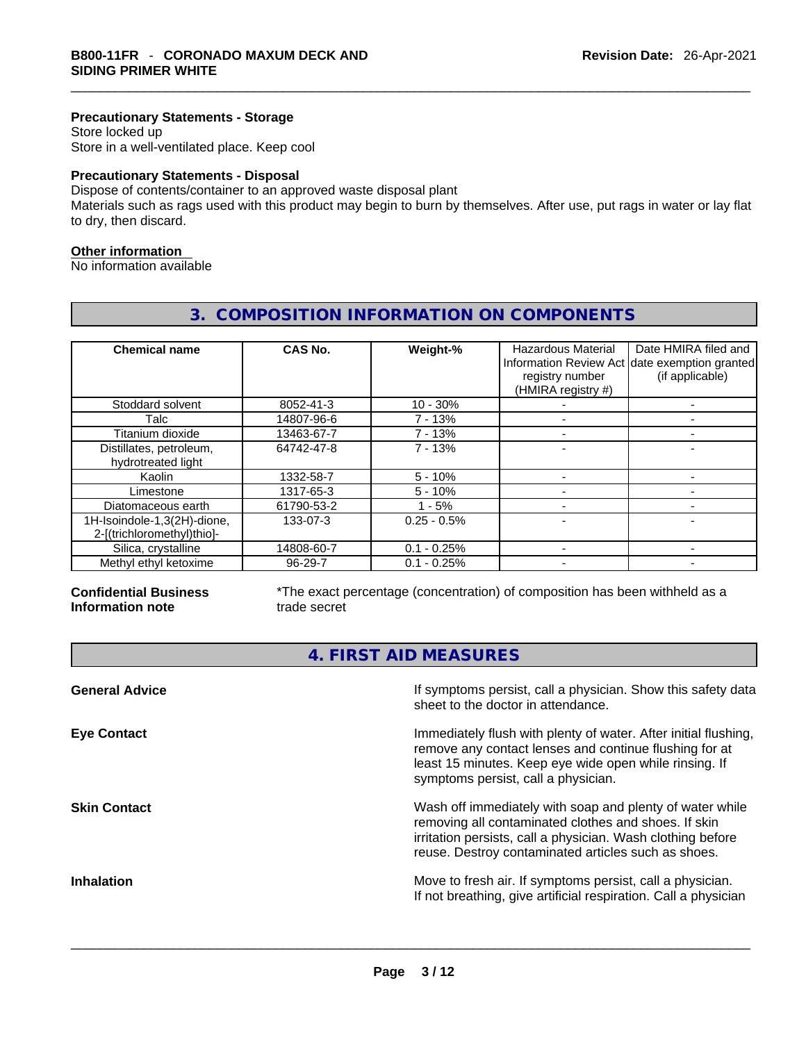#### **Precautionary Statements - Storage**

Store locked up Store in a well-ventilated place. Keep cool

#### **Precautionary Statements - Disposal**

Dispose of contents/container to an approved waste disposal plant

Materials such as rags used with this product may begin to burn by themselves. After use, put rags in water or lay flat to dry, then discard.

### **Other information**

No information available

# **3. COMPOSITION INFORMATION ON COMPONENTS**

| <b>Chemical name</b>                                      | CAS No.       | Weight-%      | <b>Hazardous Material</b><br>registry number<br>(HMIRA registry #) | Date HMIRA filed and<br>Information Review Act date exemption granted<br>(if applicable) |
|-----------------------------------------------------------|---------------|---------------|--------------------------------------------------------------------|------------------------------------------------------------------------------------------|
| Stoddard solvent                                          | 8052-41-3     | $10 - 30%$    |                                                                    |                                                                                          |
| Talc                                                      | 14807-96-6    | 7 - 13%       |                                                                    |                                                                                          |
| Titanium dioxide                                          | 13463-67-7    | $7 - 13%$     |                                                                    |                                                                                          |
| Distillates, petroleum,<br>hydrotreated light             | 64742-47-8    | $7 - 13%$     |                                                                    |                                                                                          |
| Kaolin                                                    | 1332-58-7     | $5 - 10%$     |                                                                    |                                                                                          |
| Limestone                                                 | 1317-65-3     | $5 - 10%$     |                                                                    |                                                                                          |
| Diatomaceous earth                                        | 61790-53-2    | $1 - 5%$      |                                                                    |                                                                                          |
| 1H-Isoindole-1,3(2H)-dione,<br>2-[(trichloromethyl)thio]- | 133-07-3      | $0.25 - 0.5%$ |                                                                    |                                                                                          |
| Silica, crystalline                                       | 14808-60-7    | $0.1 - 0.25%$ |                                                                    |                                                                                          |
| Methyl ethyl ketoxime                                     | $96 - 29 - 7$ | $0.1 - 0.25%$ |                                                                    |                                                                                          |

#### **Confidential Business Information note**

\*The exact percentage (concentration) of composition has been withheld as a trade secret

**4. FIRST AID MEASURES** 

| <b>General Advice</b> | If symptoms persist, call a physician. Show this safety data<br>sheet to the doctor in attendance.                                                                                                                                     |
|-----------------------|----------------------------------------------------------------------------------------------------------------------------------------------------------------------------------------------------------------------------------------|
| <b>Eye Contact</b>    | Immediately flush with plenty of water. After initial flushing,<br>remove any contact lenses and continue flushing for at<br>least 15 minutes. Keep eye wide open while rinsing. If<br>symptoms persist, call a physician.             |
| <b>Skin Contact</b>   | Wash off immediately with soap and plenty of water while<br>removing all contaminated clothes and shoes. If skin<br>irritation persists, call a physician. Wash clothing before<br>reuse. Destroy contaminated articles such as shoes. |
| <b>Inhalation</b>     | Move to fresh air. If symptoms persist, call a physician.<br>If not breathing, give artificial respiration. Call a physician                                                                                                           |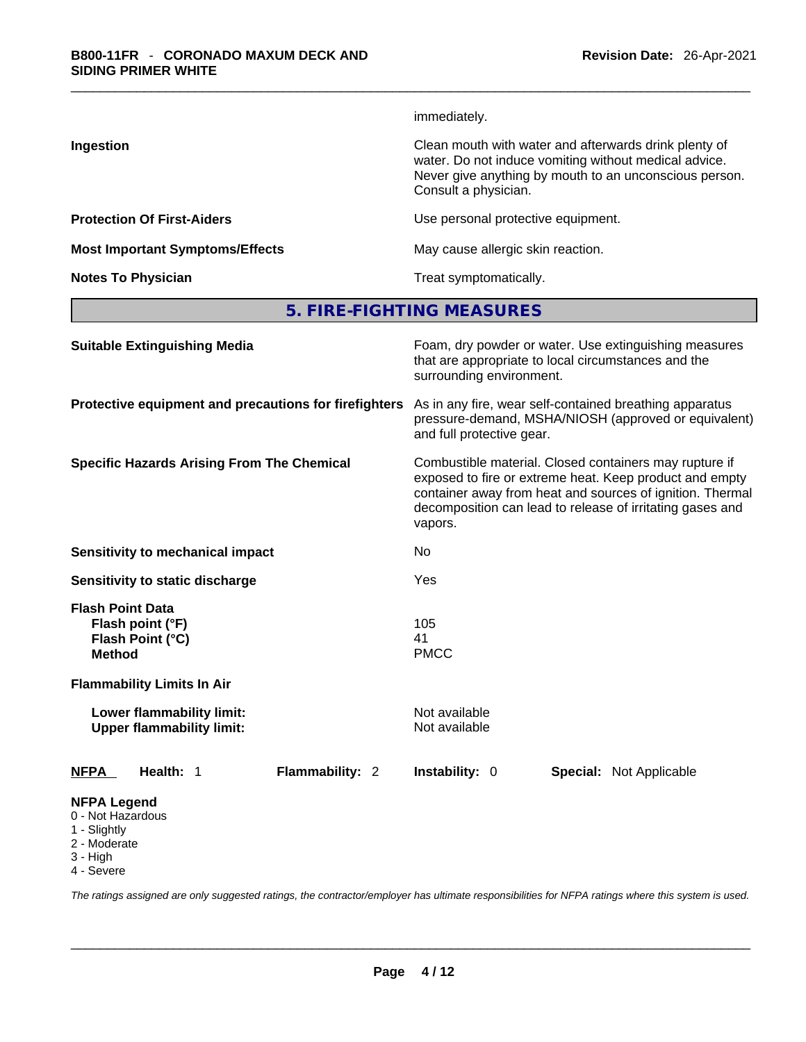|                                        | immediately.                                                                                                                                                                                     |
|----------------------------------------|--------------------------------------------------------------------------------------------------------------------------------------------------------------------------------------------------|
| Ingestion                              | Clean mouth with water and afterwards drink plenty of<br>water. Do not induce vomiting without medical advice.<br>Never give anything by mouth to an unconscious person.<br>Consult a physician. |
| <b>Protection Of First-Aiders</b>      | Use personal protective equipment.                                                                                                                                                               |
| <b>Most Important Symptoms/Effects</b> | May cause allergic skin reaction.                                                                                                                                                                |
| <b>Notes To Physician</b>              | Treat symptomatically.                                                                                                                                                                           |
|                                        |                                                                                                                                                                                                  |

**5. FIRE-FIGHTING MEASURES** 

| <b>Suitable Extinguishing Media</b>                                                 | Foam, dry powder or water. Use extinguishing measures<br>that are appropriate to local circumstances and the<br>surrounding environment.<br>As in any fire, wear self-contained breathing apparatus<br>pressure-demand, MSHA/NIOSH (approved or equivalent)<br>and full protective gear. |  |  |  |
|-------------------------------------------------------------------------------------|------------------------------------------------------------------------------------------------------------------------------------------------------------------------------------------------------------------------------------------------------------------------------------------|--|--|--|
| Protective equipment and precautions for firefighters                               |                                                                                                                                                                                                                                                                                          |  |  |  |
| <b>Specific Hazards Arising From The Chemical</b>                                   | Combustible material. Closed containers may rupture if<br>exposed to fire or extreme heat. Keep product and empty<br>container away from heat and sources of ignition. Thermal<br>decomposition can lead to release of irritating gases and<br>vapors.                                   |  |  |  |
| Sensitivity to mechanical impact                                                    | No                                                                                                                                                                                                                                                                                       |  |  |  |
| Sensitivity to static discharge                                                     | Yes                                                                                                                                                                                                                                                                                      |  |  |  |
| <b>Flash Point Data</b><br>Flash point (°F)<br>Flash Point (°C)<br><b>Method</b>    | 105<br>41<br><b>PMCC</b>                                                                                                                                                                                                                                                                 |  |  |  |
| <b>Flammability Limits In Air</b>                                                   |                                                                                                                                                                                                                                                                                          |  |  |  |
| Lower flammability limit:<br><b>Upper flammability limit:</b>                       | Not available<br>Not available                                                                                                                                                                                                                                                           |  |  |  |
| Flammability: 2<br><b>NFPA</b><br>Health: 1                                         | <b>Instability: 0</b><br><b>Special: Not Applicable</b>                                                                                                                                                                                                                                  |  |  |  |
| <b>NFPA Legend</b><br>0 - Not Hazardous<br>1 - Slightly<br>2 - Moderate<br>3 - High |                                                                                                                                                                                                                                                                                          |  |  |  |

4 - Severe

*The ratings assigned are only suggested ratings, the contractor/employer has ultimate responsibilities for NFPA ratings where this system is used.*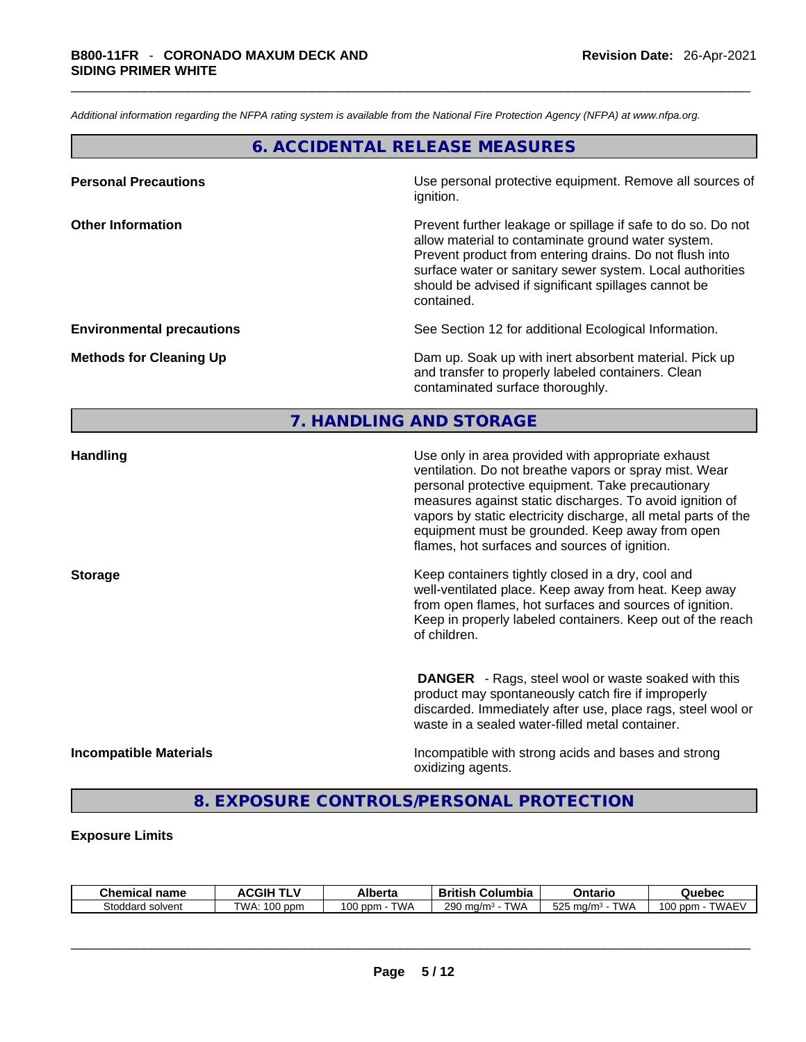*Additional information regarding the NFPA rating system is available from the National Fire Protection Agency (NFPA) at www.nfpa.org.* 

# **6. ACCIDENTAL RELEASE MEASURES**

| <b>Personal Precautions</b>      | Use personal protective equipment. Remove all sources of<br>ignition.                                                                                                                                                                                                                                            |
|----------------------------------|------------------------------------------------------------------------------------------------------------------------------------------------------------------------------------------------------------------------------------------------------------------------------------------------------------------|
| <b>Other Information</b>         | Prevent further leakage or spillage if safe to do so. Do not<br>allow material to contaminate ground water system.<br>Prevent product from entering drains. Do not flush into<br>surface water or sanitary sewer system. Local authorities<br>should be advised if significant spillages cannot be<br>contained. |
| <b>Environmental precautions</b> | See Section 12 for additional Ecological Information.                                                                                                                                                                                                                                                            |
| <b>Methods for Cleaning Up</b>   | Dam up. Soak up with inert absorbent material. Pick up<br>and transfer to properly labeled containers. Clean<br>contaminated surface thoroughly.                                                                                                                                                                 |

# **7. HANDLING AND STORAGE**

| <b>Handling</b>               | Use only in area provided with appropriate exhaust<br>ventilation. Do not breathe vapors or spray mist. Wear<br>personal protective equipment. Take precautionary<br>measures against static discharges. To avoid ignition of<br>vapors by static electricity discharge, all metal parts of the<br>equipment must be grounded. Keep away from open<br>flames, hot surfaces and sources of ignition. |
|-------------------------------|-----------------------------------------------------------------------------------------------------------------------------------------------------------------------------------------------------------------------------------------------------------------------------------------------------------------------------------------------------------------------------------------------------|
| <b>Storage</b>                | Keep containers tightly closed in a dry, cool and<br>well-ventilated place. Keep away from heat. Keep away<br>from open flames, hot surfaces and sources of ignition.<br>Keep in properly labeled containers. Keep out of the reach<br>of children.                                                                                                                                                 |
|                               | <b>DANGER</b> - Rags, steel wool or waste soaked with this<br>product may spontaneously catch fire if improperly<br>discarded. Immediately after use, place rags, steel wool or<br>waste in a sealed water-filled metal container.                                                                                                                                                                  |
| <b>Incompatible Materials</b> | Incompatible with strong acids and bases and strong<br>oxidizing agents.                                                                                                                                                                                                                                                                                                                            |

# **8. EXPOSURE CONTROLS/PERSONAL PROTECTION**

#### **Exposure Limits**

| Chemical<br>name    | CGIH                | Alberta                           | .<br>British<br>Columbia | Ontario                                        | Quebec                 |
|---------------------|---------------------|-----------------------------------|--------------------------|------------------------------------------------|------------------------|
| Stoddard<br>solvent | 00<br>TWA:<br>opm ( | <b>TWA</b><br>$\sim$<br>ppm<br>υv | TWA<br>290<br>, ma/m     | $F \cap F$<br><b>TWA</b><br>. ma/m<br>Ö<br>ںےں | <b>TWAEV</b><br>00 ppm |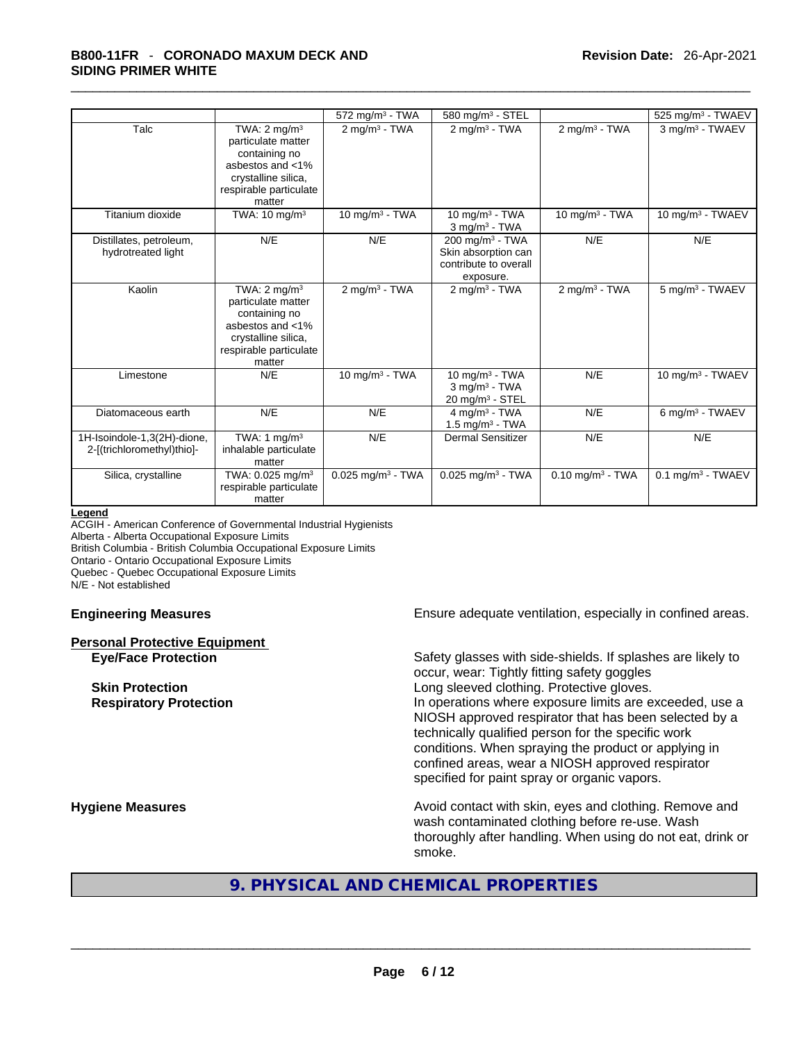|                                                           |                                                                                                                                               | $572$ mg/m <sup>3</sup> - TWA   | 580 mg/m <sup>3</sup> - STEL                                                             |                                | 525 mg/m <sup>3</sup> - TWAEV   |
|-----------------------------------------------------------|-----------------------------------------------------------------------------------------------------------------------------------------------|---------------------------------|------------------------------------------------------------------------------------------|--------------------------------|---------------------------------|
| Talc                                                      | TWA: $2 \text{ mg/m}^3$<br>particulate matter<br>containing no<br>asbestos and <1%<br>crystalline silica,<br>respirable particulate<br>matter | $2$ mg/m $3$ - TWA              | $2$ mg/m $3$ - TWA                                                                       | $2$ mg/m <sup>3</sup> - TWA    | 3 mg/m <sup>3</sup> - TWAEV     |
| Titanium dioxide                                          | TWA: $10 \text{ mg/m}^3$                                                                                                                      | 10 mg/m $3$ - TWA               | 10 mg/m $3$ - TWA<br>$3$ mg/m <sup>3</sup> - TWA                                         | 10 mg/m $3$ - TWA              | 10 mg/m $3$ - TWAEV             |
| Distillates, petroleum,<br>hydrotreated light             | N/E                                                                                                                                           | N/E                             | 200 mg/m <sup>3</sup> - TWA<br>Skin absorption can<br>contribute to overall<br>exposure. | N/E                            | N/E                             |
| Kaolin                                                    | TWA: $2 \text{ mg/m}^3$<br>particulate matter<br>containing no<br>asbestos and <1%<br>crystalline silica,<br>respirable particulate<br>matter | $2$ mg/m <sup>3</sup> - TWA     | $2 \text{mq/m}^3$ - TWA                                                                  | $2$ mg/m <sup>3</sup> - TWA    | 5 mg/m <sup>3</sup> - TWAEV     |
| Limestone                                                 | N/E                                                                                                                                           | 10 mg/m $3$ - TWA               | 10 mg/m $3$ - TWA<br>$3$ mg/m <sup>3</sup> - TWA<br>$20$ mg/m <sup>3</sup> - STEL        | N/E                            | 10 mg/m <sup>3</sup> - TWAEV    |
| Diatomaceous earth                                        | N/E                                                                                                                                           | N/E                             | 4 mg/m <sup>3</sup> - TWA<br>$1.5$ mg/m <sup>3</sup> - TWA                               | N/E                            | 6 mg/m <sup>3</sup> - TWAEV     |
| 1H-Isoindole-1,3(2H)-dione,<br>2-[(trichloromethyl)thio]- | TWA: 1 mg/m <sup>3</sup><br>inhalable particulate<br>matter                                                                                   | N/E                             | Dermal Sensitizer                                                                        | N/E                            | N/E                             |
| Silica, crystalline                                       | TWA: 0.025 mg/m <sup>3</sup><br>respirable particulate<br>matter                                                                              | $0.025$ mg/m <sup>3</sup> - TWA | $0.025$ mg/m <sup>3</sup> - TWA                                                          | $0.10$ mg/m <sup>3</sup> - TWA | $0.1$ mg/m <sup>3</sup> - TWAEV |

#### **Legend**

ACGIH - American Conference of Governmental Industrial Hygienists

Alberta - Alberta Occupational Exposure Limits

British Columbia - British Columbia Occupational Exposure Limits

Ontario - Ontario Occupational Exposure Limits

Quebec - Quebec Occupational Exposure Limits

N/E - Not established

**Personal Protective Equipment**

**Engineering Measures Ensure** Ensure adequate ventilation, especially in confined areas.

**Eye/Face Protection** Safety glasses with side-shields. If splashes are likely to occur, wear: Tightly fitting safety goggles **Skin Protection Skin Protection Congression Long sleeved clothing. Protective gloves. Respiratory Protection In operations where exposure limits are exceeded, use a** NIOSH approved respirator that has been selected by a technically qualified person for the specific work conditions. When spraying the product or applying in confined areas, wear a NIOSH approved respirator specified for paint spray or organic vapors.

**Hygiene Measures Avoid contact with skin, eyes and clothing. Remove and Avoid contact with skin, eyes and clothing. Remove and** wash contaminated clothing before re-use. Wash thoroughly after handling. When using do not eat, drink or smoke.

# **9. PHYSICAL AND CHEMICAL PROPERTIES**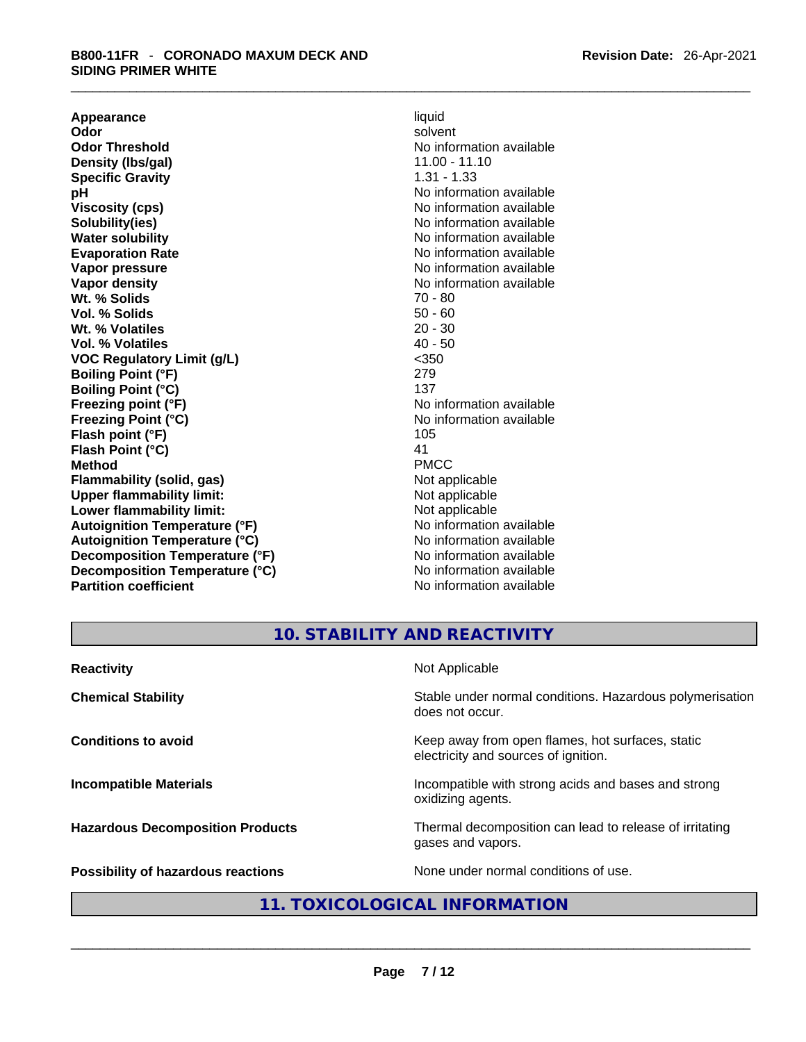**Appearance** liquid **Odor Solvent Solvent Solvent Solvent Odor Threshold No information available** No information available **Density (lbs/gal)** 11.00 - 11.10 **Specific Gravity** 1.31 - 1.33 **pH bH 1 Viscosity (cps) No information available No information available Solubility(ies)**<br> **No** information available<br> **Water solubility**<br> **Water Solubility Evaporation Rate No information available No information available Vapor pressure**<br> **Vapor density**<br> **Vapor density**<br> **Vapor density**<br> **Vapor density Wt. % Solids** 70 - 80 **Vol. % Solids** 50 - 60 **Wt. % Volatiles Vol. % Volatiles** 40 - 50 **VOC Regulatory Limit (g/L)** <350 **Boiling Point (°F)** 279 **Boiling Point (°C)** 137 **Freezing point (°F)** No information available **Freezing Point (°C)** No information available **Flash point (°F)** 105 **Flash Point (°C)** 41 **Method** PMCC **Flammability (solid, gas)** Not applicable **Upper flammability limit:** Not applicable **Lower flammability limit:** Not applicable **Autoignition Temperature (°F)** No information available **Autoignition Temperature (°C)** No information available **Decomposition Temperature (°F)** No information available **Decomposition Temperature (°C)**<br> **Partition coefficient**<br> **Partition coefficient**<br> **Partition coefficient** 

**No information available No information available No information available** 

# **10. STABILITY AND REACTIVITY**

| <b>Reactivity</b>                       | Not Applicable                                                                           |
|-----------------------------------------|------------------------------------------------------------------------------------------|
| <b>Chemical Stability</b>               | Stable under normal conditions. Hazardous polymerisation<br>does not occur.              |
| <b>Conditions to avoid</b>              | Keep away from open flames, hot surfaces, static<br>electricity and sources of ignition. |
| <b>Incompatible Materials</b>           | Incompatible with strong acids and bases and strong<br>oxidizing agents.                 |
| <b>Hazardous Decomposition Products</b> | Thermal decomposition can lead to release of irritating<br>gases and vapors.             |
| Possibility of hazardous reactions      | None under normal conditions of use.                                                     |
|                                         | 11. TOXICOLOGICAL INFORMATION                                                            |
|                                         |                                                                                          |
|                                         |                                                                                          |

# **11. TOXICOLOGICAL INFORMATION**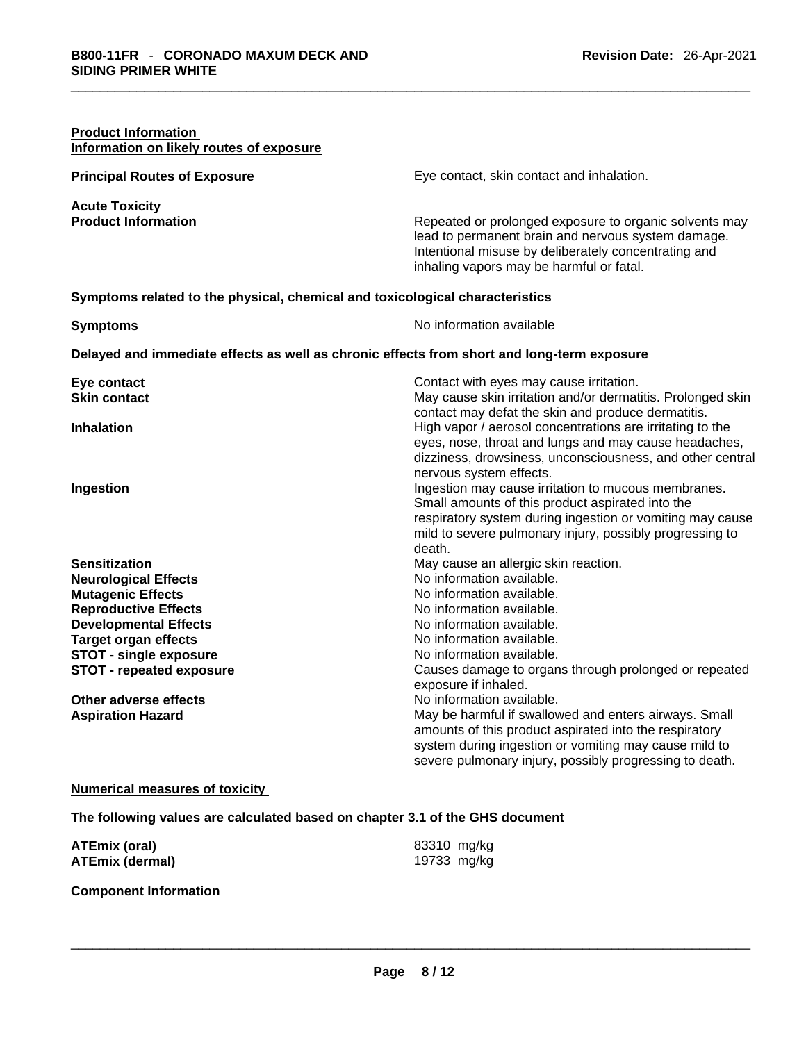| <b>Product Information</b><br>Information on likely routes of exposure                     |                                                                                                                                                                                                                                            |
|--------------------------------------------------------------------------------------------|--------------------------------------------------------------------------------------------------------------------------------------------------------------------------------------------------------------------------------------------|
| <b>Principal Routes of Exposure</b>                                                        | Eye contact, skin contact and inhalation.                                                                                                                                                                                                  |
| <b>Acute Toxicity</b><br><b>Product Information</b>                                        | Repeated or prolonged exposure to organic solvents may<br>lead to permanent brain and nervous system damage.<br>Intentional misuse by deliberately concentrating and<br>inhaling vapors may be harmful or fatal.                           |
| Symptoms related to the physical, chemical and toxicological characteristics               |                                                                                                                                                                                                                                            |
| <b>Symptoms</b>                                                                            | No information available                                                                                                                                                                                                                   |
| Delayed and immediate effects as well as chronic effects from short and long-term exposure |                                                                                                                                                                                                                                            |
| Eye contact<br><b>Skin contact</b>                                                         | Contact with eyes may cause irritation.<br>May cause skin irritation and/or dermatitis. Prolonged skin<br>contact may defat the skin and produce dermatitis.                                                                               |
| <b>Inhalation</b>                                                                          | High vapor / aerosol concentrations are irritating to the<br>eyes, nose, throat and lungs and may cause headaches,<br>dizziness, drowsiness, unconsciousness, and other central<br>nervous system effects.                                 |
| Ingestion                                                                                  | Ingestion may cause irritation to mucous membranes.<br>Small amounts of this product aspirated into the<br>respiratory system during ingestion or vomiting may cause<br>mild to severe pulmonary injury, possibly progressing to<br>death. |
| <b>Sensitization</b>                                                                       | May cause an allergic skin reaction.                                                                                                                                                                                                       |
| <b>Neurological Effects</b>                                                                | No information available.                                                                                                                                                                                                                  |
| <b>Mutagenic Effects</b>                                                                   | No information available.                                                                                                                                                                                                                  |
| <b>Reproductive Effects</b><br><b>Developmental Effects</b>                                | No information available.<br>No information available.                                                                                                                                                                                     |
| <b>Target organ effects</b>                                                                | No information available.                                                                                                                                                                                                                  |
| <b>STOT - single exposure</b>                                                              | No information available.                                                                                                                                                                                                                  |
| <b>STOT - repeated exposure</b>                                                            | Causes damage to organs through prolonged or repeated<br>exposure if inhaled.                                                                                                                                                              |
| Other adverse effects                                                                      | No information available.                                                                                                                                                                                                                  |
| <b>Aspiration Hazard</b>                                                                   | May be harmful if swallowed and enters airways. Small<br>amounts of this product aspirated into the respiratory<br>system during ingestion or vomiting may cause mild to<br>severe pulmonary injury, possibly progressing to death.        |
| <b>Numerical measures of toxicity</b>                                                      |                                                                                                                                                                                                                                            |

**The following values are calculated based on chapter 3.1 of the GHS document**

| <b>ATEmix (oral)</b><br><b>ATEmix (dermal)</b> | 83310 mg/kg<br>19733 mg/kg |  |
|------------------------------------------------|----------------------------|--|
| <b>Component Information</b>                   |                            |  |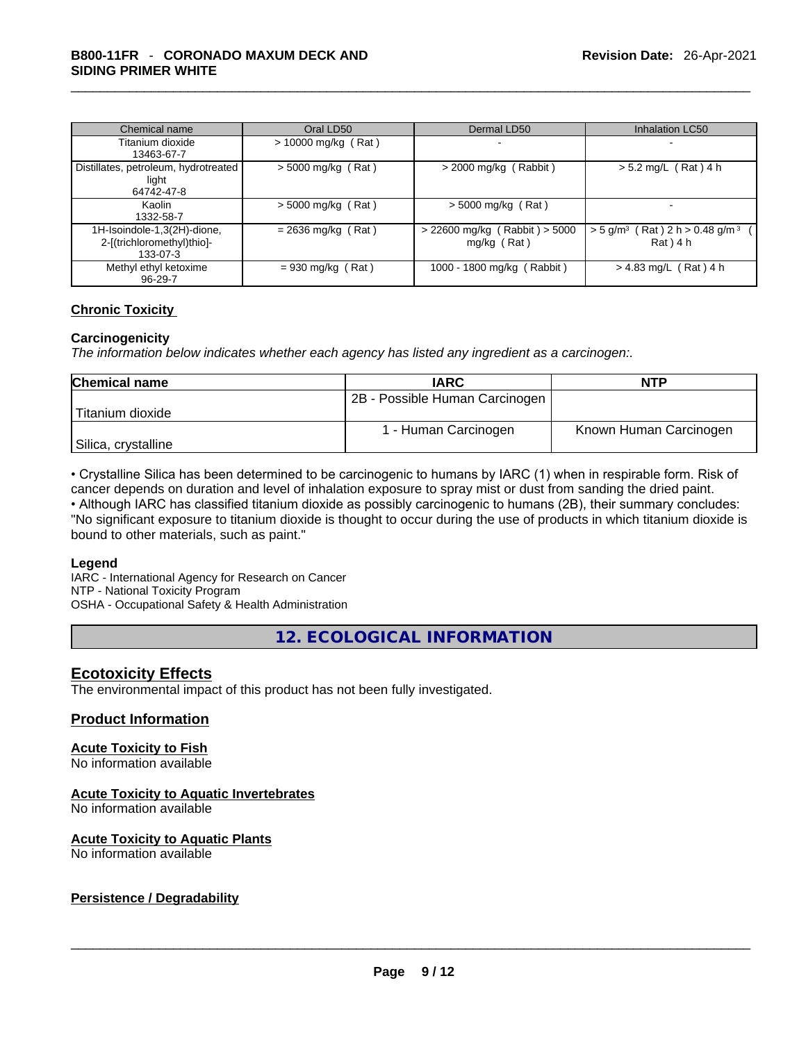| Chemical name                                                         | Oral LD50             | Dermal LD50                                    | Inhalation LC50                                                           |
|-----------------------------------------------------------------------|-----------------------|------------------------------------------------|---------------------------------------------------------------------------|
| Titanium dioxide                                                      | $> 10000$ mg/kg (Rat) |                                                |                                                                           |
| 13463-67-7                                                            |                       |                                                |                                                                           |
| Distillates, petroleum, hydrotreated<br>light<br>64742-47-8           | $>$ 5000 mg/kg (Rat)  | $>$ 2000 mg/kg (Rabbit)                        | $> 5.2$ mg/L (Rat) 4 h                                                    |
| Kaolin<br>1332-58-7                                                   | $>$ 5000 mg/kg (Rat)  | $>$ 5000 mg/kg (Rat)                           |                                                                           |
| 1H-Isoindole-1,3(2H)-dione,<br>2-[(trichloromethyl)thio]-<br>133-07-3 | $= 2636$ mg/kg (Rat)  | > 22600 mg/kg (Rabbit) > 5000<br>$mg/kg$ (Rat) | $>$ 5 g/m <sup>3</sup> (Rat) 2 h $>$ 0.48 g/m <sup>3</sup><br>$Rat$ $14h$ |
| Methyl ethyl ketoxime<br>$96 - 29 - 7$                                | $= 930$ mg/kg (Rat)   | 1000 - 1800 mg/kg (Rabbit)                     | $> 4.83$ mg/L (Rat) 4 h                                                   |

#### **Chronic Toxicity**

#### **Carcinogenicity**

*The information below indicates whether each agency has listed any ingredient as a carcinogen:.* 

| <b>Chemical name</b> | <b>IARC</b>                    | <b>NTP</b>             |
|----------------------|--------------------------------|------------------------|
|                      | 2B - Possible Human Carcinogen |                        |
| Titanium dioxide     |                                |                        |
|                      | 1 - Human Carcinogen           | Known Human Carcinogen |
| Silica, crystalline  |                                |                        |

• Crystalline Silica has been determined to be carcinogenic to humans by IARC (1) when in respirable form. Risk of cancer depends on duration and level of inhalation exposure to spray mist or dust from sanding the dried paint.

• Although IARC has classified titanium dioxide as possibly carcinogenic to humans (2B), their summary concludes: "No significant exposure to titanium dioxide is thought to occur during the use of products in which titanium dioxide is bound to other materials, such as paint."

#### **Legend**

IARC - International Agency for Research on Cancer NTP - National Toxicity Program OSHA - Occupational Safety & Health Administration

**12. ECOLOGICAL INFORMATION** 

#### **Ecotoxicity Effects**

The environmental impact of this product has not been fully investigated.

#### **Product Information**

#### **Acute Toxicity to Fish**

No information available

#### **Acute Toxicity to Aquatic Invertebrates**

No information available

#### **Acute Toxicity to Aquatic Plants**

# No information available \_\_\_\_\_\_\_\_\_\_\_\_\_\_\_\_\_\_\_\_\_\_\_\_\_\_\_\_\_\_\_\_\_\_\_\_\_\_\_\_\_\_\_\_\_\_\_\_\_\_\_\_\_\_\_\_\_\_\_\_\_\_\_\_\_\_\_\_\_\_\_\_\_\_\_\_\_\_\_\_\_\_\_\_\_\_\_\_\_\_\_\_\_ **Persistence / Degradability**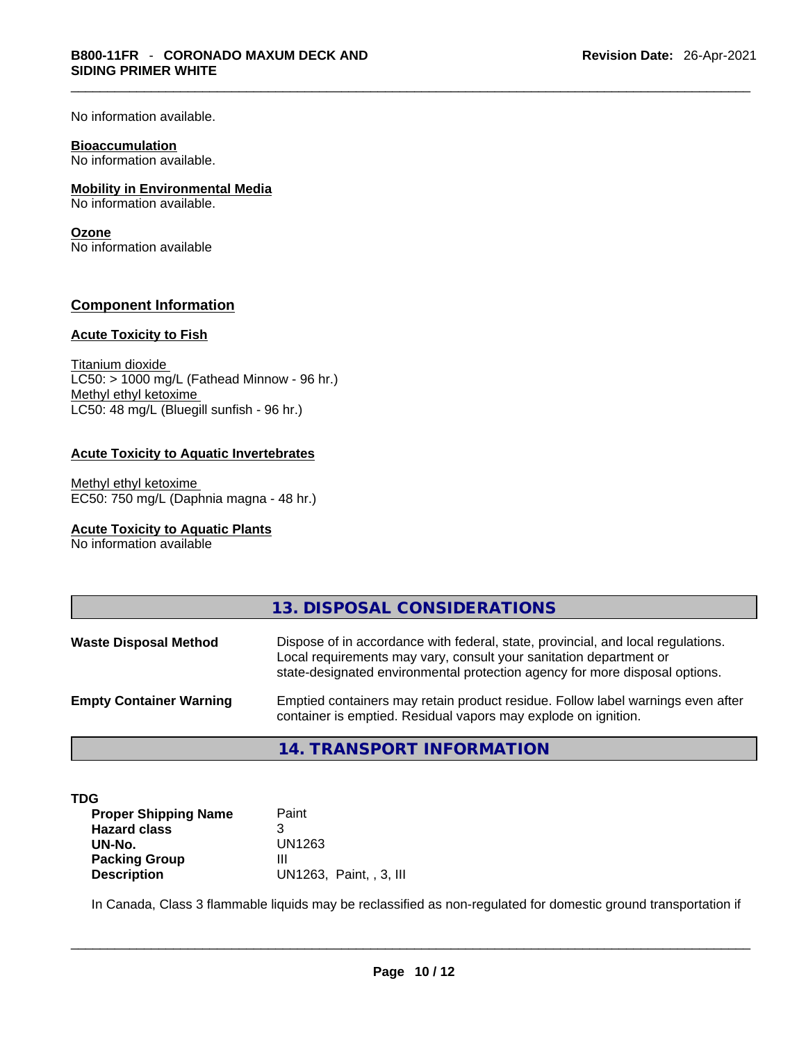No information available.

#### **Bioaccumulation**

No information available.

#### **Mobility in Environmental Media**

No information available.

#### **Ozone**

No information available

#### **Component Information**

#### **Acute Toxicity to Fish**

Titanium dioxide  $LC50:$  > 1000 mg/L (Fathead Minnow - 96 hr.) Methyl ethyl ketoxime LC50: 48 mg/L (Bluegill sunfish - 96 hr.)

#### **Acute Toxicity to Aquatic Invertebrates**

Methyl ethyl ketoxime EC50: 750 mg/L (Daphnia magna - 48 hr.)

#### **Acute Toxicity to Aquatic Plants**

No information available

|                                | 13. DISPOSAL CONSIDERATIONS                                                                                                                                                                                                           |
|--------------------------------|---------------------------------------------------------------------------------------------------------------------------------------------------------------------------------------------------------------------------------------|
| <b>Waste Disposal Method</b>   | Dispose of in accordance with federal, state, provincial, and local regulations.<br>Local requirements may vary, consult your sanitation department or<br>state-designated environmental protection agency for more disposal options. |
| <b>Empty Container Warning</b> | Emptied containers may retain product residue. Follow label warnings even after<br>container is emptied. Residual vapors may explode on ignition.                                                                                     |

## **14. TRANSPORT INFORMATION**

| TDG                         |                         |
|-----------------------------|-------------------------|
| <b>Proper Shipping Name</b> | Paint                   |
| <b>Hazard class</b>         |                         |
| UN-No.                      | UN1263                  |
| <b>Packing Group</b>        | Ш                       |
| <b>Description</b>          | UN1263, Paint, , 3, III |

In Canada, Class 3 flammable liquids may be reclassified as non-regulated for domestic ground transportation if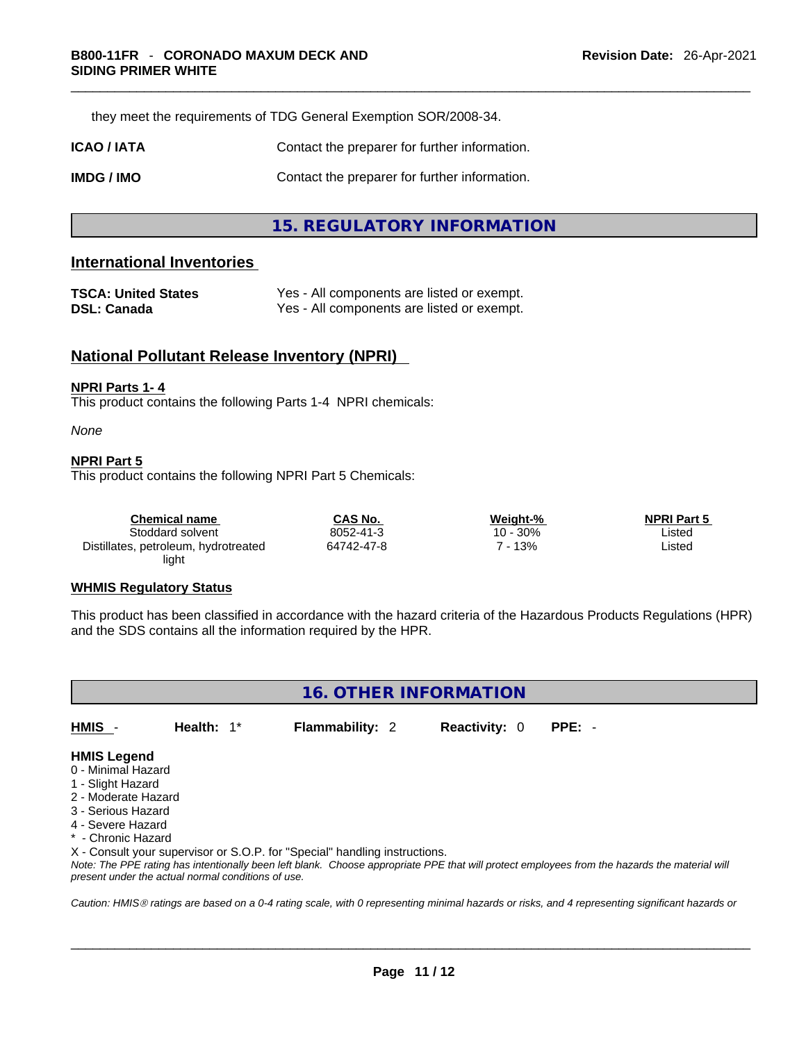they meet the requirements of TDG General Exemption SOR/2008-34.

**ICAO / IATA Contact the preparer for further information.** 

**IMDG / IMO Contact the preparer for further information.** 

## **15. REGULATORY INFORMATION**

#### **International Inventories**

| <b>TSCA: United States</b> | Yes - All components are listed or exempt. |
|----------------------------|--------------------------------------------|
| DSL: Canada                | Yes - All components are listed or exempt. |

### **National Pollutant Release Inventory (NPRI)**

#### **NPRI Parts 1- 4**

This product contains the following Parts 1-4 NPRI chemicals:

*None*

#### **NPRI Part 5**

This product contains the following NPRI Part 5 Chemicals:

| Chemical name                        | <b>CAS No.</b> | Weight-% | <b>NPRI Part 5</b> |  |
|--------------------------------------|----------------|----------|--------------------|--|
| Stoddard solvent                     | 8052-41-3      | 10 - 30% | Listed             |  |
| Distillates, petroleum, hydrotreated | 64742-47-8     | 13%      | ∟isted             |  |
| light                                |                |          |                    |  |

#### **WHMIS Regulatory Status**

This product has been classified in accordance with the hazard criteria of the Hazardous Products Regulations (HPR) and the SDS contains all the information required by the HPR.



#### **HMIS Legend**

- 0 Minimal Hazard
- 1 Slight Hazard
- 2 Moderate Hazard
- 3 Serious Hazard
- 4 Severe Hazard
- \* Chronic Hazard

X - Consult your supervisor or S.O.P. for "Special" handling instructions.

Note: The PPE rating has intentionally been left blank. Choose appropriate PPE that will protect employees from the hazards the material will *present under the actual normal conditions of use.* 

*Caution: HMISÒ ratings are based on a 0-4 rating scale, with 0 representing minimal hazards or risks, and 4 representing significant hazards or*